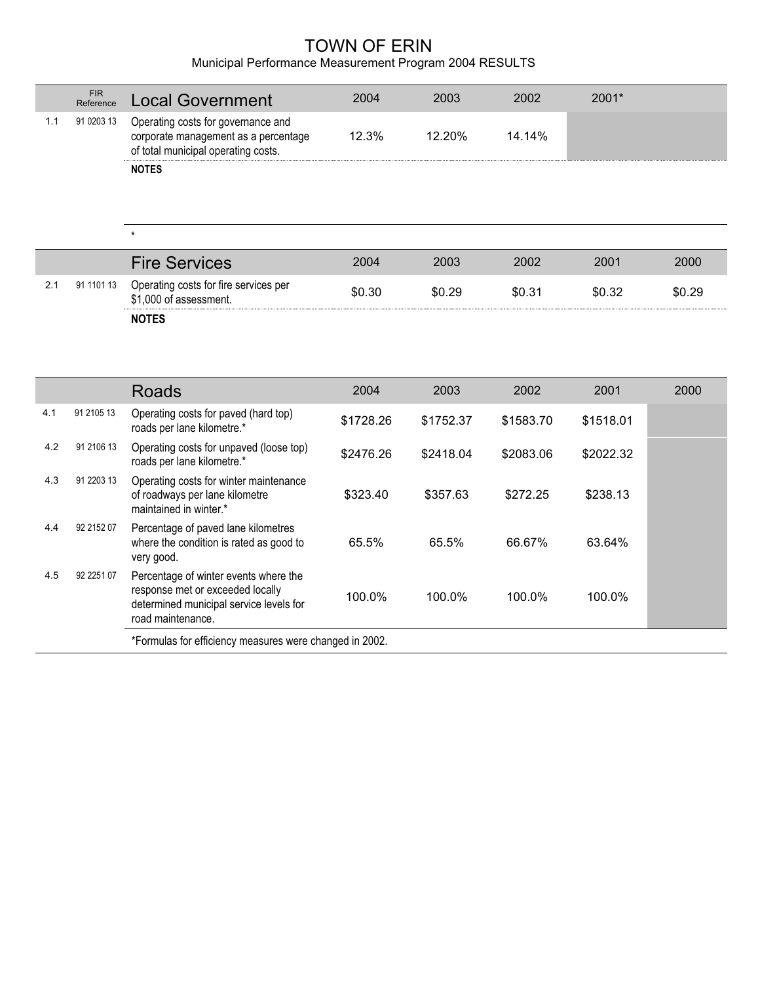## TOWN OF ERIN

## Municipal Performance Measurement Program 2004 RESULTS

|     | <b>FIR</b><br>Reference | <b>Local Government</b>                                                                                                                   | 2004      | 2003      | 2002      | 2001*     |        |
|-----|-------------------------|-------------------------------------------------------------------------------------------------------------------------------------------|-----------|-----------|-----------|-----------|--------|
| 1.1 | 91 0203 13              | Operating costs for governance and<br>corporate management as a percentage<br>of total municipal operating costs.                         | 12.3%     | 12.20%    | 14.14%    |           |        |
|     |                         | <b>NOTES</b>                                                                                                                              |           |           |           |           |        |
|     |                         | $\star$                                                                                                                                   |           |           |           |           |        |
|     |                         | <b>Fire Services</b>                                                                                                                      | 2004      | 2003      | 2002      | 2001      | 2000   |
| 2.1 | 91 1101 13              | Operating costs for fire services per<br>\$1,000 of assessment.                                                                           | \$0.30    | \$0.29    | \$0.31    | \$0.32    | \$0.29 |
|     |                         | <b>NOTES</b>                                                                                                                              |           |           |           |           |        |
|     |                         |                                                                                                                                           |           |           |           |           |        |
|     |                         | <b>Roads</b>                                                                                                                              | 2004      | 2003      | 2002      | 2001      | 2000   |
| 4.1 | 91 2105 13              | Operating costs for paved (hard top)<br>roads per lane kilometre.*                                                                        | \$1728.26 | \$1752.37 | \$1583.70 | \$1518.01 |        |
| 4.2 | 91 2106 13              | Operating costs for unpaved (loose top)                                                                                                   |           |           |           |           |        |
|     |                         | roads per lane kilometre.*                                                                                                                | \$2476.26 | \$2418.04 | \$2083.06 | \$2022.32 |        |
| 4.3 | 91 2203 13              | Operating costs for winter maintenance<br>of roadways per lane kilometre<br>maintained in winter.*                                        | \$323.40  | \$357.63  | \$272.25  | \$238.13  |        |
| 4.4 | 92 2152 07              | Percentage of paved lane kilometres<br>where the condition is rated as good to<br>very good.                                              | 65.5%     | 65.5%     | 66.67%    | 63.64%    |        |
| 4.5 | 92 2251 07              | Percentage of winter events where the<br>response met or exceeded locally<br>determined municipal service levels for<br>road maintenance. | 100.0%    | 100.0%    | 100.0%    | 100.0%    |        |